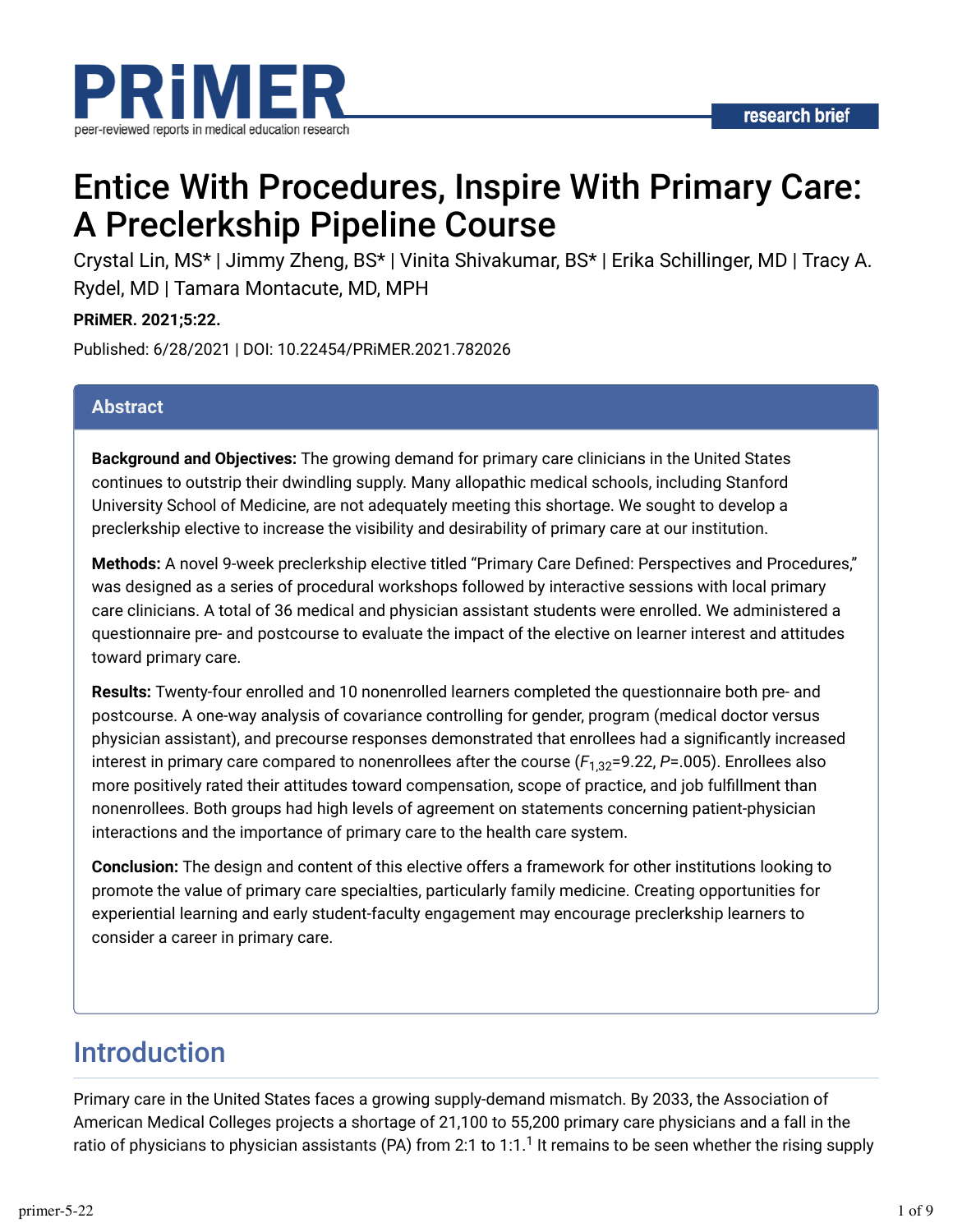



# Entice With Procedures, Inspire With Primary Care: A Preclerkship Pipeline Course

Crystal Lin, MS\* | Jimmy Zheng, BS\* | Vinita Shivakumar, BS\* | Erika Schillinger, MD | Tracy A. Rydel, MD | Tamara Montacute, MD, MPH

**PRiMER. 2021;5:22.**

Published: 6/28/2021 | DOI: 10.22454/PRiMER.2021.782026

#### **Abstract**

**Background and Objectives:** The growing demand for primary care clinicians in the United States continues to outstrip their dwindling supply. Many allopathic medical schools, including Stanford University School of Medicine, are not adequately meeting this shortage. We sought to develop a preclerkship elective to increase the visibility and desirability of primary care at our institution.

Methods: A novel 9-week preclerkship elective titled "Primary Care Defined: Perspectives and Procedures," was designed as a series of procedural workshops followed by interactive sessions with local primary care clinicians. A total of 36 medical and physician assistant students were enrolled. We administered a questionnaire pre- and postcourse to evaluate the impact of the elective on learner interest and attitudes toward primary care.

**Results:** Twenty-four enrolled and 10 nonenrolled learners completed the questionnaire both pre- and postcourse. A one-way analysis of covariance controlling for gender, program (medical doctor versus physician assistant), and precourse responses demonstrated that enrollees had a significantly increased interest in primary care compared to nonenrollees after the course ( $F_{1,32}$ =9.22, *P*=.005). Enrollees also more positively rated their attitudes toward compensation, scope of practice, and job fulfillment than nonenrollees. Both groups had high levels of agreement on statements concerning patient-physician interactions and the importance of primary care to the health care system.

**Conclusion:** The design and content of this elective offers a framework for other institutions looking to promote the value of primary care specialties, particularly family medicine. Creating opportunities for experiential learning and early student-faculty engagement may encourage preclerkship learners to consider a career in primary care.

## Introduction

Primary care in the United States faces a growing supply-demand mismatch. By 2033, the Association of American Medical Colleges projects a shortage of 21,100 to 55,200 primary care physicians and a fall in the ratio of physicians to physician assistants (PA) from 2:1 to 1:1.<sup>1</sup> It remains to be seen whether the rising supply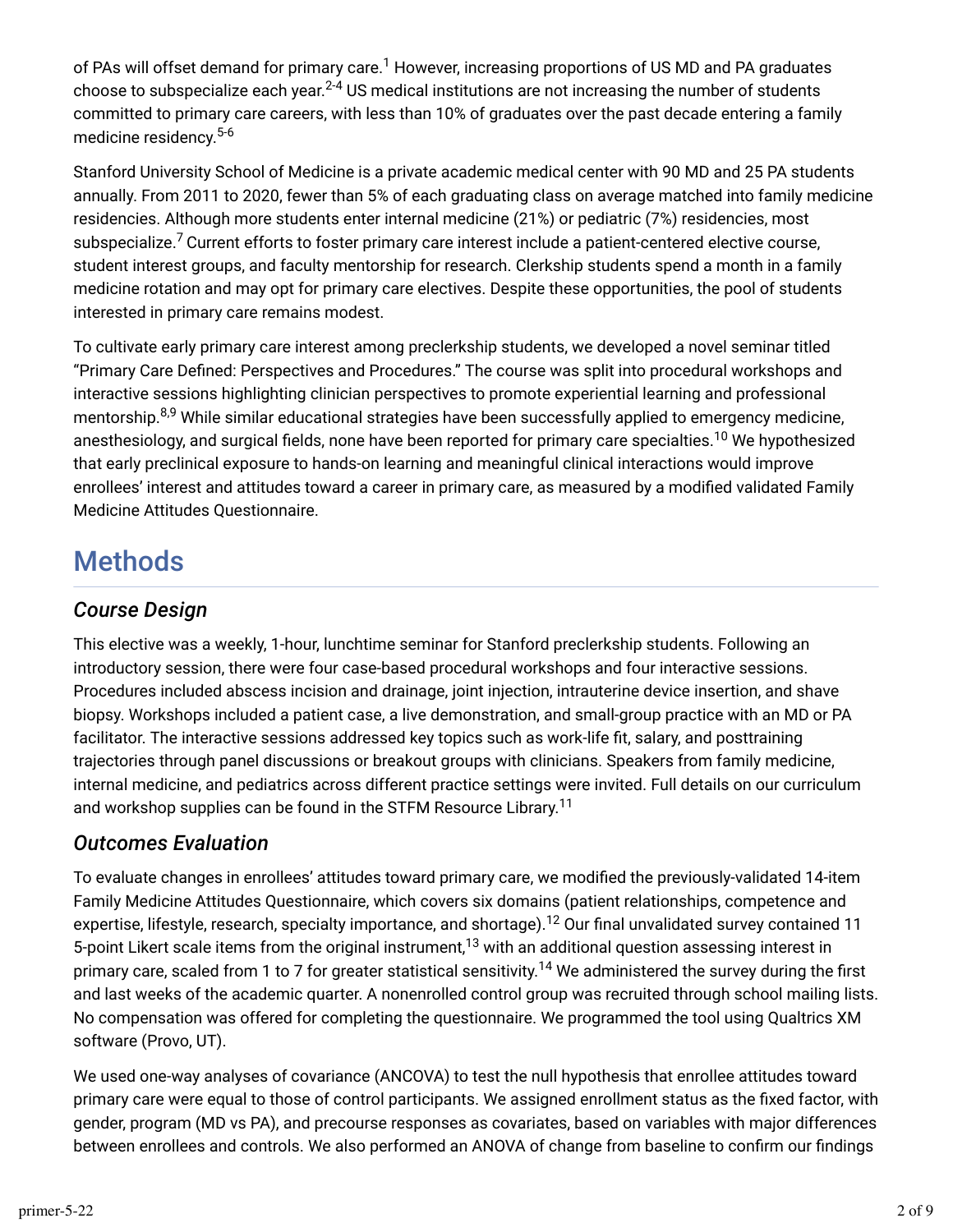of PAs will offset demand for primary care. $^1$  However, increasing proportions of US MD and PA graduates choose to subspecialize each year. $^{2\text{-}4}$  US medical institutions are not increasing the number of students committed to primary care careers, with less than 10% of graduates over the past decade entering a family medicine residency. 5-6

Stanford University School of Medicine is a private academic medical center with 90 MD and 25 PA students annually. From 2011 to 2020, fewer than 5% of each graduating class on average matched into family medicine residencies. Although more students enter internal medicine (21%) or pediatric (7%) residencies, most subspecialize.<sup>7</sup> Current efforts to foster primary care interest include a patient-centered elective course, student interest groups, and faculty mentorship for research. Clerkship students spend a month in a family medicine rotation and may opt for primary care electives. Despite these opportunities, the pool of students interested in primary care remains modest.

To cultivate early primary care interest among preclerkship students, we developed a novel seminar titled "Primary Care Defined: Perspectives and Procedures." The course was split into procedural workshops and interactive sessions highlighting clinician perspectives to promote experiential learning and professional mentorship.<sup>8,9</sup> While similar educational strategies have been successfully applied to emergency medicine, anesthesiology, and surgical fields, none have been reported for primary care specialties.<sup>10</sup> We hypothesized that early preclinical exposure to hands-on learning and meaningful clinical interactions would improve enrollees' interest and attitudes toward a career in primary care, as measured by a modified validated Family Medicine Attitudes Questionnaire.

## Methods

### *Course Design*

This elective was a weekly, 1-hour, lunchtime seminar for Stanford preclerkship students. Following an introductory session, there were four case-based procedural workshops and four interactive sessions. Procedures included abscess incision and drainage, joint injection, intrauterine device insertion, and shave biopsy. Workshops included a patient case, a live demonstration, and small-group practice with an MD or PA facilitator. The interactive sessions addressed key topics such as work-life fit, salary, and posttraining trajectories through panel discussions or breakout groups with clinicians. Speakers from family medicine, internal medicine, and pediatrics across different practice settings were invited. Full details on our curriculum and workshop supplies can be found in the STFM Resource Library.<sup>11</sup>

### *Outcomes Evaluation*

To evaluate changes in enrollees' attitudes toward primary care, we modified the previously-validated 14-item Family Medicine Attitudes Questionnaire, which covers six domains (patient relationships, competence and expertise, lifestyle, research, specialty importance, and shortage). $^{12}$  Our final unvalidated survey contained 11 5-point Likert scale items from the original instrument, $^{13}$  with an additional question assessing interest in primary care, scaled from 1 to 7 for greater statistical sensitivity.<sup>14</sup> We administered the survey during the first and last weeks of the academic quarter. A nonenrolled control group was recruited through school mailing lists. No compensation was offered for completing the questionnaire. We programmed the tool using Qualtrics XM software (Provo, UT).

We used one-way analyses of covariance (ANCOVA) to test the null hypothesis that enrollee attitudes toward primary care were equal to those of control participants. We assigned enrollment status as the fixed factor, with gender, program (MD vs PA), and precourse responses as covariates, based on variables with major differences between enrollees and controls. We also performed an ANOVA of change from baseline to confirm our findings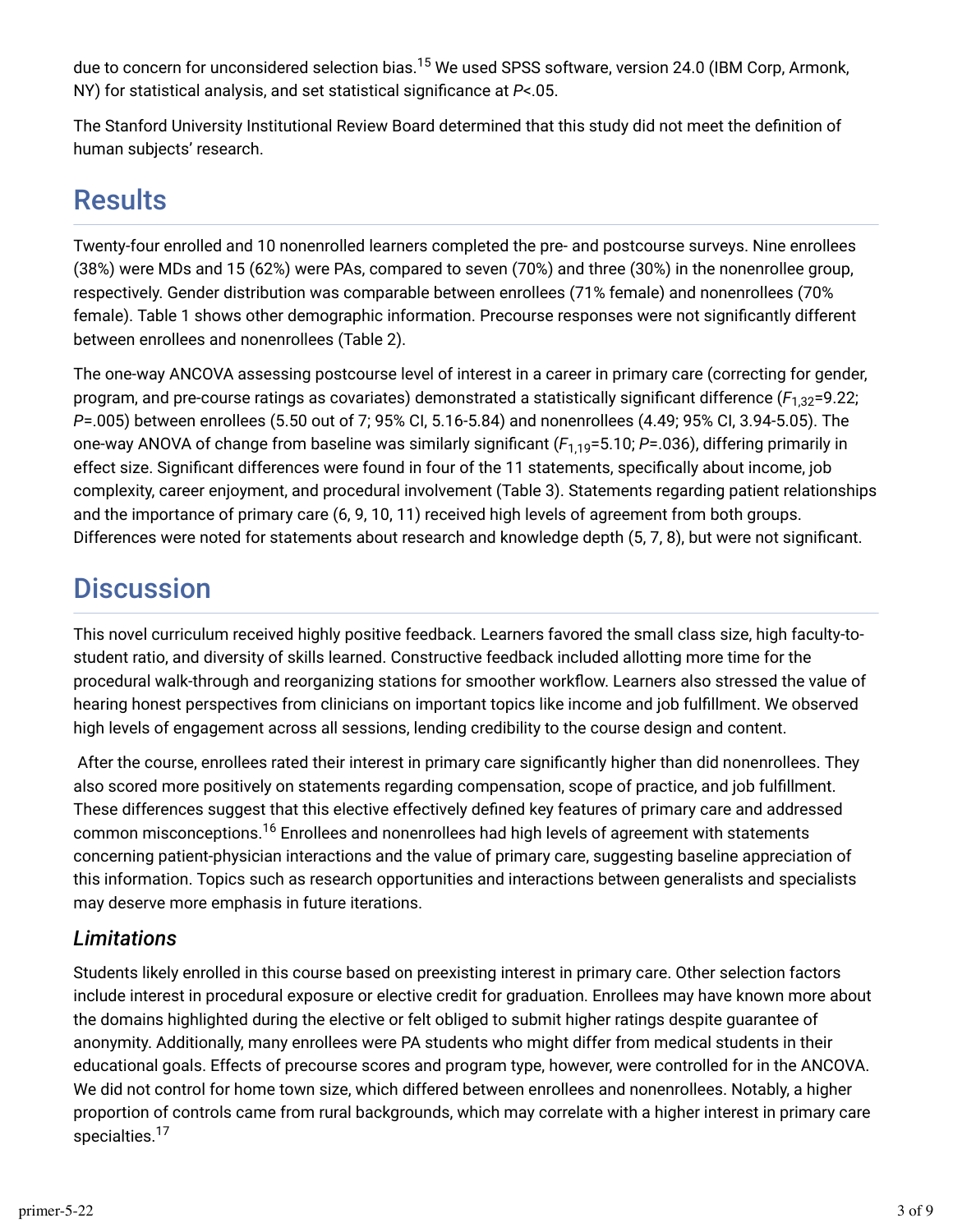due to concern for unconsidered selection bias.<sup>15</sup> We used SPSS software, version 24.0 (IBM Corp, Armonk, NY) for statistical analysis, and set statistical significance at  $P$ <.05.

The Stanford University Institutional Review Board determined that this study did not meet the definition of human subjects' research.

## Results

Twenty-four enrolled and 10 nonenrolled learners completed the pre- and postcourse surveys. Nine enrollees (38%) were MDs and 15 (62%) were PAs, compared to seven (70%) and three (30%) in the nonenrollee group, respectively. Gender distribution was comparable between enrollees (71% female) and nonenrollees (70% female). Table 1 shows other demographic information. Precourse responses were not significantly different between enrollees and nonenrollees (Table 2).

The one-way ANCOVA assessing postcourse level of interest in a career in primary care (correcting for gender, program, and pre-course ratings as covariates) demonstrated a statistically significant difference ( $F_{1,32}$ =9.22; *P*=.005) between enrollees (5.50 out of 7; 95% CI, 5.16-5.84) and nonenrollees (4.49; 95% CI, 3.94-5.05). The one-way ANOVA of change from baseline was similarly significant (F<sub>1,19</sub>=5.10; P=.036), differing primarily in effect size. Significant differences were found in four of the 11 statements, specifically about income, job complexity, career enjoyment, and procedural involvement (Table 3). Statements regarding patient relationships and the importance of primary care (6, 9, 10, 11) received high levels of agreement from both groups. Differences were noted for statements about research and knowledge depth (5, 7, 8), but were not significant.

## **Discussion**

This novel curriculum received highly positive feedback. Learners favored the small class size, high faculty-tostudent ratio, and diversity of skills learned. Constructive feedback included allotting more time for the procedural walk-through and reorganizing stations for smoother workflow. Learners also stressed the value of hearing honest perspectives from clinicians on important topics like income and job fulfillment. We observed high levels of engagement across all sessions, lending credibility to the course design and content.

After the course, enrollees rated their interest in primary care significantly higher than did nonenrollees. They also scored more positively on statements regarding compensation, scope of practice, and job fulfillment. These differences suggest that this elective effectively defined key features of primary care and addressed common misconceptions. $^{16}$  Enrollees and nonenrollees had high levels of agreement with statements concerning patient-physician interactions and the value of primary care, suggesting baseline appreciation of this information. Topics such as research opportunities and interactions between generalists and specialists may deserve more emphasis in future iterations.

### *Limitations*

Students likely enrolled in this course based on preexisting interest in primary care. Other selection factors include interest in procedural exposure or elective credit for graduation. Enrollees may have known more about the domains highlighted during the elective or felt obliged to submit higher ratings despite guarantee of anonymity. Additionally, many enrollees were PA students who might differ from medical students in their educational goals. Effects of precourse scores and program type, however, were controlled for in the ANCOVA. We did not control for home town size, which differed between enrollees and nonenrollees. Notably, a higher proportion of controls came from rural backgrounds, which may correlate with a higher interest in primary care specialties.<sup>17</sup>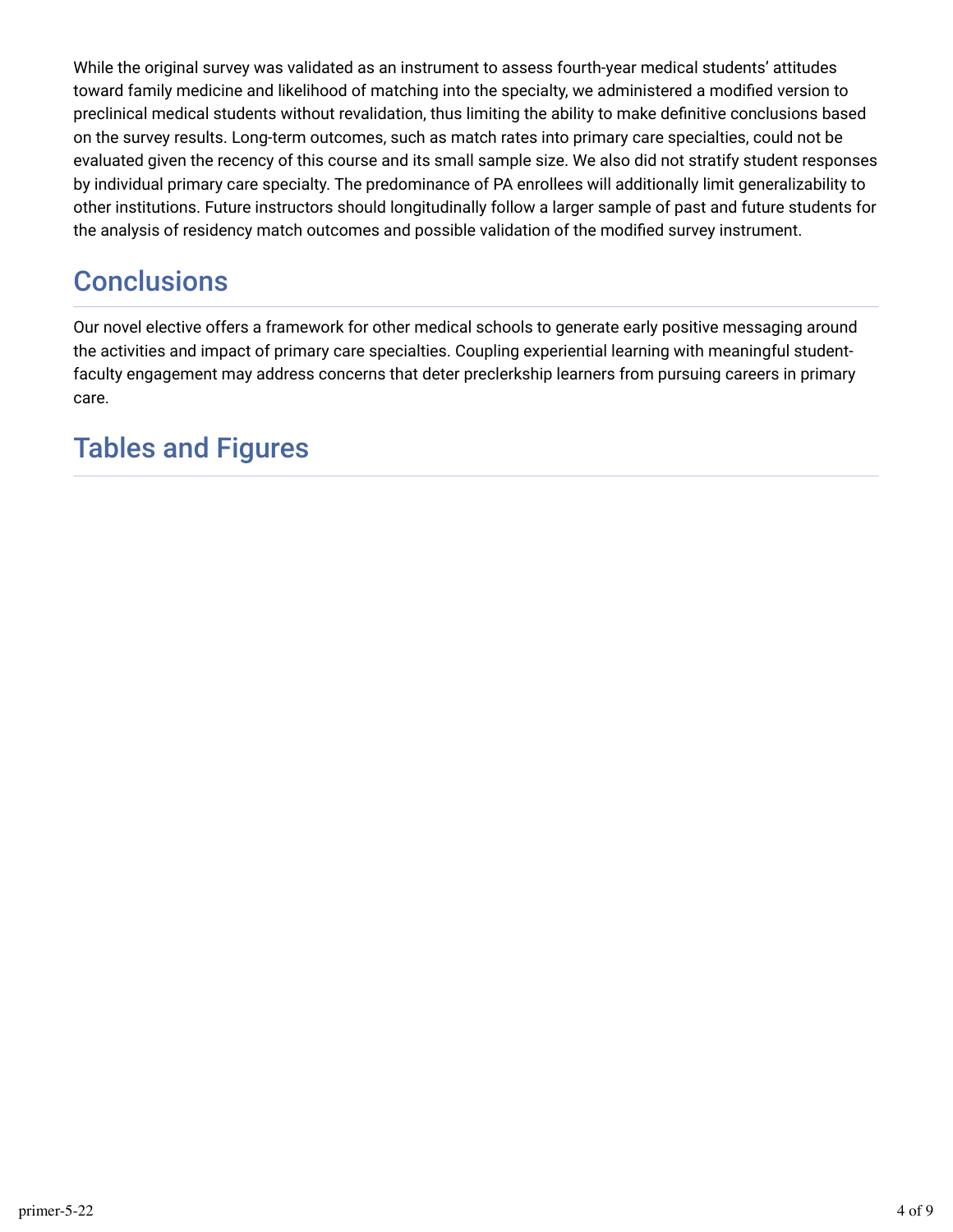While the original survey was validated as an instrument to assess fourth-year medical students' attitudes toward family medicine and likelihood of matching into the specialty, we administered a modified version to preclinical medical students without revalidation, thus limiting the ability to make definitive conclusions based on the survey results. Long-term outcomes, such as match rates into primary care specialties, could not be evaluated given the recency of this course and its small sample size. We also did not stratify student responses by individual primary care specialty. The predominance of PA enrollees will additionally limit generalizability to other institutions. Future instructors should longitudinally follow a larger sample of past and future students for the analysis of residency match outcomes and possible validation of the modified survey instrument.

## **Conclusions**

Our novel elective offers a framework for other medical schools to generate early positive messaging around the activities and impact of primary care specialties. Coupling experiential learning with meaningful studentfaculty engagement may address concerns that deter preclerkship learners from pursuing careers in primary care.

## Tables and Figures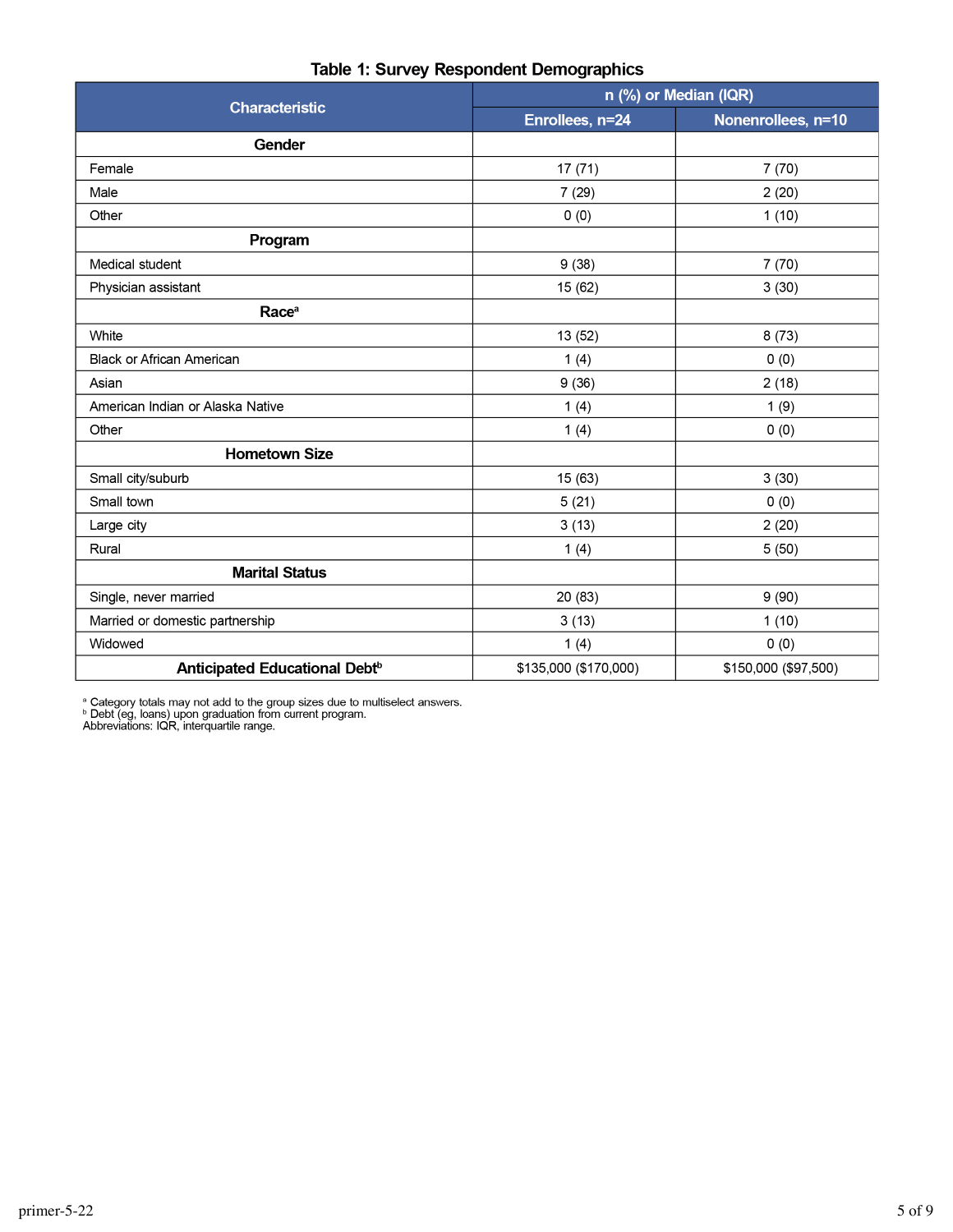|                                           | n (%) or Median (IQR) |                      |  |  |
|-------------------------------------------|-----------------------|----------------------|--|--|
| <b>Characteristic</b>                     | Enrollees, n=24       | Nonenrollees, n=10   |  |  |
| Gender                                    |                       |                      |  |  |
| Female                                    | 17(71)                | 7(70)                |  |  |
| Male                                      | 7(29)                 | 2(20)                |  |  |
| Other                                     | 0(0)                  | 1(10)                |  |  |
| Program                                   |                       |                      |  |  |
| Medical student                           | 9(38)                 | 7(70)                |  |  |
| Physician assistant                       | 15 (62)               | 3(30)                |  |  |
| Race <sup>a</sup>                         |                       |                      |  |  |
| White                                     | 13 (52)               | 8(73)                |  |  |
| Black or African American                 | 1(4)                  | 0(0)                 |  |  |
| Asian                                     | 9(36)                 | 2(18)                |  |  |
| American Indian or Alaska Native          | 1(4)                  | 1(9)                 |  |  |
| Other                                     | 1(4)                  | 0(0)                 |  |  |
| <b>Hometown Size</b>                      |                       |                      |  |  |
| Small city/suburb                         | 15 (63)               | 3(30)                |  |  |
| Small town                                | 5(21)                 | 0(0)                 |  |  |
| Large city                                | 3(13)                 | 2(20)                |  |  |
| Rural                                     | 1(4)                  | 5(50)                |  |  |
| <b>Marital Status</b>                     |                       |                      |  |  |
| Single, never married                     | 20 (83)               | 9(90)                |  |  |
| Married or domestic partnership           | 3(13)                 | 1(10)                |  |  |
| Widowed                                   | 1(4)                  | 0(0)                 |  |  |
| Anticipated Educational Debt <sup>b</sup> | \$135,000 (\$170,000) | \$150,000 (\$97,500) |  |  |

#### Table 1: Survey Respondent Demographics

<sup>a</sup> Category totals may not add to the group sizes due to multiselect answers.<br><sup>b</sup> Debt (eg, loans) upon graduation from current program.<br>Abbreviations: IQR, interquartile range.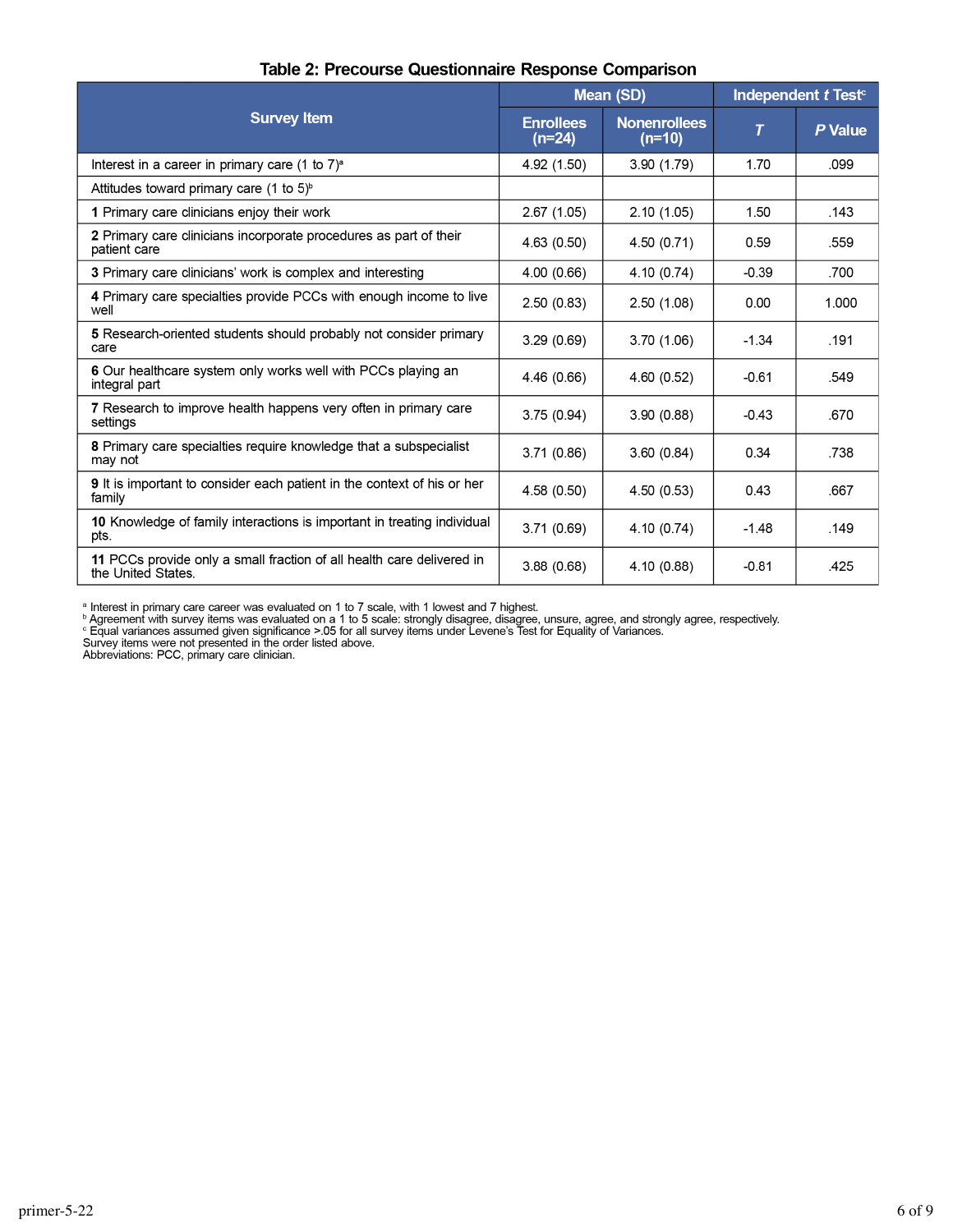|                                                                                             | Mean (SD)                    |                                 | Independent t Test <sup>c</sup> |         |
|---------------------------------------------------------------------------------------------|------------------------------|---------------------------------|---------------------------------|---------|
| <b>Survey Item</b>                                                                          | <b>Enrollees</b><br>$(n=24)$ | <b>Nonenrollees</b><br>$(n=10)$ | T                               | P Value |
| Interest in a career in primary care $(1 \text{ to } 7)^a$                                  | 4.92 (1.50)                  | 3.90(1.79)                      | 1.70                            | .099    |
| Attitudes toward primary care $(1 \text{ to } 5)^{6}$                                       |                              |                                 |                                 |         |
| 1 Primary care clinicians enjoy their work                                                  | 2.67(1.05)                   | 2.10(1.05)                      | 1.50                            | .143    |
| 2 Primary care clinicians incorporate procedures as part of their<br>patient care           | 4.63(0.50)                   | 4.50(0.71)                      | 0.59                            | .559    |
| 3 Primary care clinicians' work is complex and interesting                                  | 4.00(0.66)                   | 4.10(0.74)                      | $-0.39$                         | .700    |
| 4 Primary care specialties provide PCCs with enough income to live<br>well                  | 2.50(0.83)                   | 2.50(1.08)                      | 0.00                            | 1.000   |
| 5 Research-oriented students should probably not consider primary<br>care                   | 3.29(0.69)                   | 3.70(1.06)                      | $-1.34$                         | .191    |
| 6 Our healthcare system only works well with PCCs playing an<br>integral part               | 4.46 (0.66)                  | 4.60(0.52)                      | $-0.61$                         | .549    |
| 7 Research to improve health happens very often in primary care<br>settings                 | 3.75(0.94)                   | 3.90(0.88)                      | $-0.43$                         | .670    |
| 8 Primary care specialties require knowledge that a subspecialist<br>may not                | 3.71(0.86)                   | 3.60(0.84)                      | 0.34                            | .738    |
| <b>9</b> It is important to consider each patient in the context of his or her<br>family    | 4.58(0.50)                   | 4.50(0.53)                      | 0.43                            | .667    |
| 10 Knowledge of family interactions is important in treating individual<br>pts.             | 3.71(0.69)                   | 4.10(0.74)                      | $-1.48$                         | .149    |
| 11 PCCs provide only a small fraction of all health care delivered in<br>the United States. | 3.88(0.68)                   | 4.10 (0.88)                     | $-0.81$                         | .425    |

#### Table 2: Precourse Questionnaire Response Comparison

<sup>a</sup> Interest in primary care career was evaluated on 1 to 7 scale, with 1 lowest and 7 highest.<br><sup>b</sup> Agreement with survey items was evaluated on a 1 to 5 scale: strongly disagree, disagree, unsure, agree, and strongly agre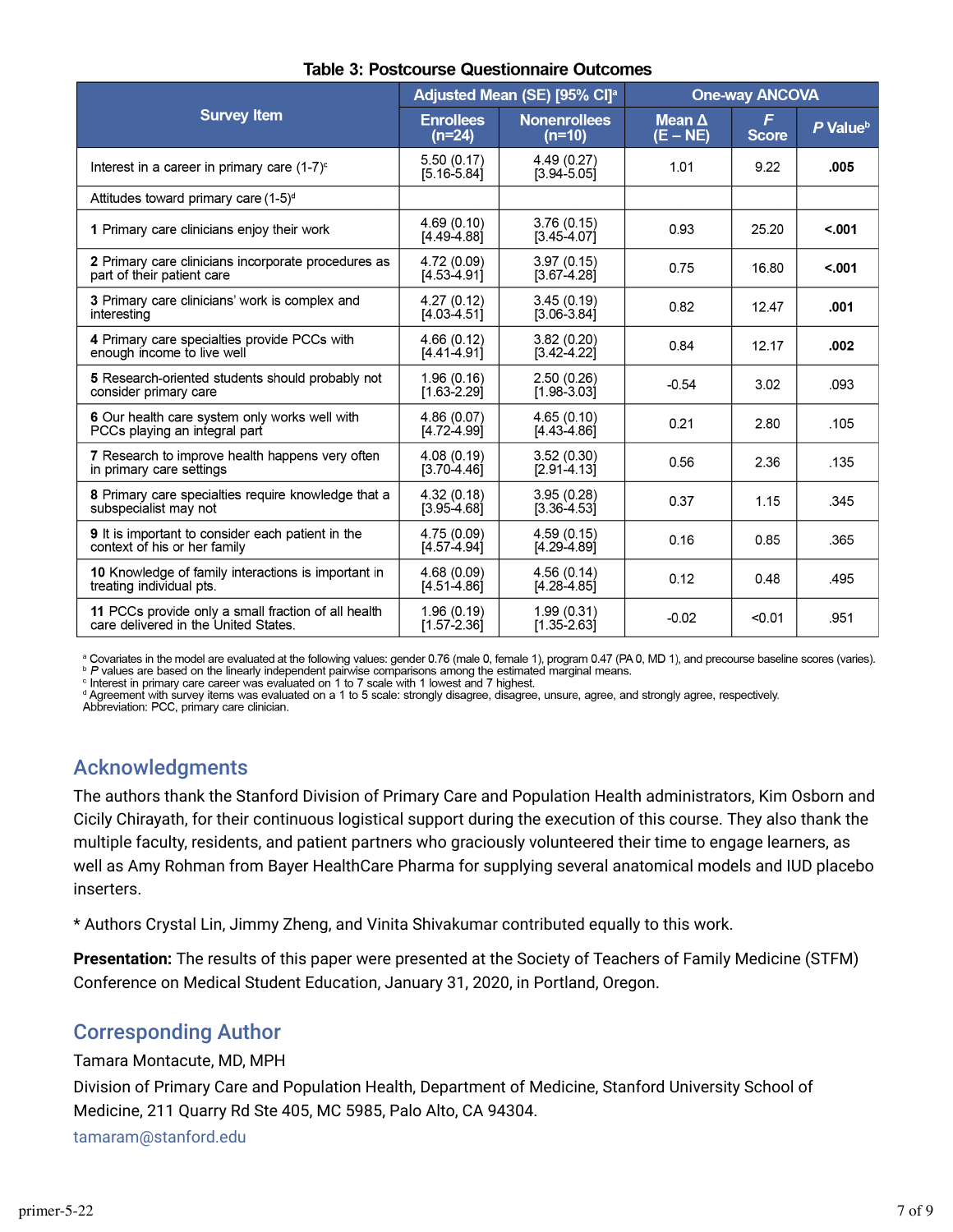|                                                                                             | Adjusted Mean (SE) [95% CI] <sup>a</sup> |                                 | <b>One-way ANCOVA</b>       |                   |                      |
|---------------------------------------------------------------------------------------------|------------------------------------------|---------------------------------|-----------------------------|-------------------|----------------------|
| <b>Survey Item</b>                                                                          | <b>Enrollees</b><br>$(n=24)$             | <b>Nonenrollees</b><br>$(n=10)$ | Mean $\Delta$<br>$(E - NE)$ | F<br><b>Score</b> | P Value <sup>b</sup> |
| Interest in a career in primary care $(1-7)^c$                                              | 5.50(0.17)<br>$[5.16 - 5.84]$            | 4.49 (0.27)<br>$[3.94 - 5.05]$  | 1.01                        | 9.22              | .005                 |
| Attitudes toward primary care (1-5) <sup>d</sup>                                            |                                          |                                 |                             |                   |                      |
| 1 Primary care clinicians enjoy their work                                                  | 4.69(0.10)<br>$[4.49 - 4.88]$            | 3.76(0.15)<br>$[3.45 - 4.07]$   | 0.93                        | 25.20             | < 0.01               |
| 2 Primary care clinicians incorporate procedures as<br>part of their patient care           | 4.72 (0.09)<br>$[4.53 - 4.91]$           | 3.97(0.15)<br>$[3.67 - 4.28]$   | 0.75                        | 16.80             | < 0.001              |
| 3 Primary care clinicians' work is complex and<br>interesting                               | 4.27(0.12)<br>$[4.03 - 4.51]$            | 3.45(0.19)<br>$[3.06 - 3.84]$   | 0.82                        | 12.47             | .001                 |
| 4 Primary care specialties provide PCCs with<br>enough income to live well                  | 4.66(0.12)<br>$[4.41 - 4.91]$            | 3.82(0.20)<br>$[3.42 \ 4.22]$   | 0.84                        | 12.17             | .002                 |
| 5 Research-oriented students should probably not<br>consider primary care                   | 1.96(0.16)<br>$[1.63 - 2.29]$            | 2.50(0.26)<br>$[1.98 - 3.03]$   | $-0.54$                     | 3.02              | .093                 |
| 6 Our health care system only works well with<br>PCCs playing an integral part              | 4.86(0.07)<br>$[4.72 - 4.99]$            | 4.65(0.10)<br>[4.43-4.86]       | 0.21                        | 2.80              | .105                 |
| 7 Research to improve health happens very often<br>in primary care settings                 | 4.08(0.19)<br>$[3.70 - 4.46]$            | 3.52(0.30)<br>$[2.91 - 4.13]$   | 0.56                        | 2.36              | .135                 |
| 8 Primary care specialties require knowledge that a<br>subspecialist may not                | 4.32(0.18)<br>$[3.95 - 4.68]$            | 3.95(0.28)<br>$[3.36 - 4.53]$   | 0.37                        | 1.15              | .345                 |
| 9 It is important to consider each patient in the<br>context of his or her family           | 4.75 (0.09)<br>$[4.57 - 4.94]$           | 4.59(0.15)<br>$[4.29 - 4.89]$   | 0.16                        | 0.85              | .365                 |
| 10 Knowledge of family interactions is important in<br>treating individual pts.             | 4.68 (0.09)<br>$[4.51 - 4.86]$           | 4.56(0.14)<br>$[4.28 - 4.85]$   | 0.12                        | 0.48              | .495                 |
| 11 PCCs provide only a small fraction of all health<br>care delivered in the United States. | 1.96(0.19)<br>$[1.57 - 2.36]$            | 1.99(0.31)<br>$[1.35 - 2.63]$   | $-0.02$                     | < 0.01            | .951                 |

#### **Table 3: Postcourse Questionnaire Outcomes**

a Covariates in the model are evaluated at the following values: gender 0.76 (male 0, female 1), program 0.47 (PA 0, MD 1), and precourse baseline scores (varies). » P values are based on the linearly independent pairwise comparisons among the estimated marginal means.

c Interest in primary care career was evaluated on 1 to 7 scale with 1 lowest and 7 highest.

d Agreement with survey items was evaluated on a 1 to 5 scale: strongly disagree, disagree, unsure, agree, and strongly agree, respectively.

Abbreviation: PCC, primary care clinician.

#### Acknowledgments

The authors thank the Stanford Division of Primary Care and Population Health administrators, Kim Osborn and Cicily Chirayath, for their continuous logistical support during the execution of this course. They also thank the multiple faculty, residents, and patient partners who graciously volunteered their time to engage learners, as well as Amy Rohman from Bayer HealthCare Pharma for supplying several anatomical models and IUD placebo inserters.

\* Authors Crystal Lin, Jimmy Zheng, and Vinita Shivakumar contributed equally to this work.

**Presentation:** The results of this paper were presented at the Society of Teachers of Family Medicine (STFM) Conference on Medical Student Education, January 31, 2020, in Portland, Oregon.

### Corresponding Author

Tamara Montacute, MD, MPH

Division of Primary Care and Population Health, Department of Medicine, Stanford University School of Medicine, 211 Quarry Rd Ste 405, MC 5985, Palo Alto, CA 94304.

tamaram@stanford.edu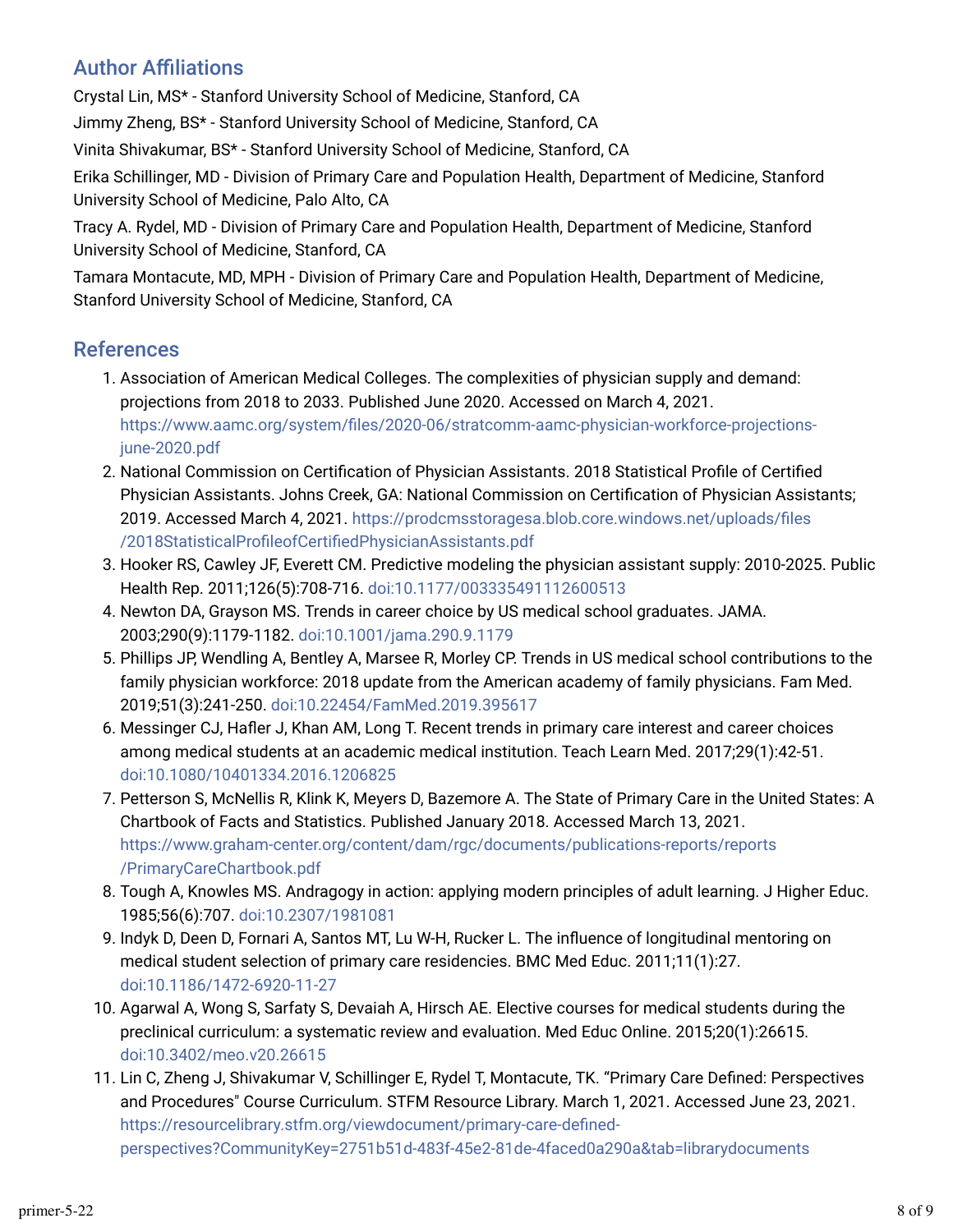### **Author Affiliations**

Crystal Lin, MS\* - Stanford University School of Medicine, Stanford, CA Jimmy Zheng, BS\* - Stanford University School of Medicine, Stanford, CA Vinita Shivakumar, BS\* - Stanford University School of Medicine, Stanford, CA Erika Schillinger, MD - Division of Primary Care and Population Health, Department of Medicine, Stanford University School of Medicine, Palo Alto, CA Tracy A. Rydel, MD - Division of Primary Care and Population Health, Department of Medicine, Stanford

University School of Medicine, Stanford, CA

Tamara Montacute, MD, MPH - Division of Primary Care and Population Health, Department of Medicine, Stanford University School of Medicine, Stanford, CA

### References

- 1. Association of American Medical Colleges. The complexities of physician supply and demand: projections from 2018 to 2033. Published June 2020. Accessed on March 4, 2021. https://www.aamc.org/system/files/2020-06/stratcomm-aamc-physician-workforce-projectionsjune-2020.pdf
- 2. National Commission on Certification of Physician Assistants. 2018 Statistical Profile of Certified Physician Assistants. Johns Creek, GA: National Commission on Certification of Physician Assistants; 2019. Accessed March 4, 2021. https://prodcmsstoragesa.blob.core.windows.net/uploads/files /2018StatisticalProfileofCertifiedPhysicianAssistants.pdf
- 3. Hooker RS, Cawley JF, Everett CM. Predictive modeling the physician assistant supply: 2010-2025. Public Health Rep. 2011;126(5):708-716. doi:10.1177/003335491112600513
- 4. Newton DA, Grayson MS. Trends in career choice by US medical school graduates. JAMA. 2003;290(9):1179-1182. doi:10.1001/jama.290.9.1179
- 5. Phillips JP, Wendling A, Bentley A, Marsee R, Morley CP. Trends in US medical school contributions to the family physician workforce: 2018 update from the American academy of family physicians. Fam Med. 2019;51(3):241-250. doi:10.22454/FamMed.2019.395617
- 6. Messinger CJ, Hafler J, Khan AM, Long T. Recent trends in primary care interest and career choices among medical students at an academic medical institution. Teach Learn Med. 2017;29(1):42-51. doi:10.1080/10401334.2016.1206825
- 7. Petterson S, McNellis R, Klink K, Meyers D, Bazemore A. The State of Primary Care in the United States: A Chartbook of Facts and Statistics. Published January 2018. Accessed March 13, 2021. https://www.graham-center.org/content/dam/rgc/documents/publications-reports/reports /PrimaryCareChartbook.pdf
- 8. Tough A, Knowles MS. Andragogy in action: applying modern principles of adult learning. J Higher Educ. 1985;56(6):707. doi:10.2307/1981081
- 9. Indyk D, Deen D, Fornari A, Santos MT, Lu W-H, Rucker L. The influence of longitudinal mentoring on medical student selection of primary care residencies. BMC Med Educ. 2011;11(1):27. doi:10.1186/1472-6920-11-27
- 10. Agarwal A, Wong S, Sarfaty S, Devaiah A, Hirsch AE. Elective courses for medical students during the preclinical curriculum: a systematic review and evaluation. Med Educ Online. 2015;20(1):26615. doi:10.3402/meo.v20.26615
- 11. Lin C, Zheng J, Shivakumar V, Schillinger E, Rydel T, Montacute, TK. "Primary Care Defined: Perspectives and Procedures" Course Curriculum. STFM Resource Library. March 1, 2021. Accessed June 23, 2021. https://resourcelibrary.stfm.org/viewdocument/primary-care-definedperspectives?CommunityKey=2751b51d-483f-45e2-81de-4faced0a290a&tab=librarydocuments